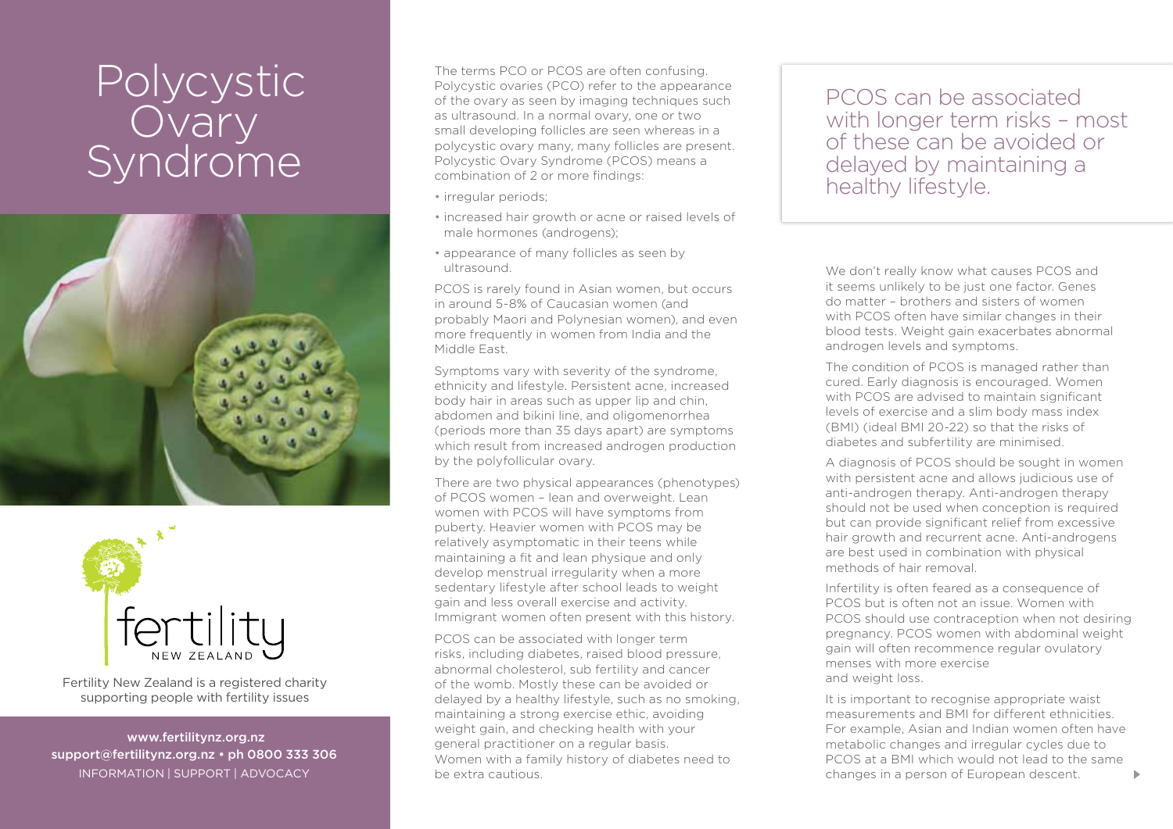## Polycystic Ovary Syndrome





Fertility New Zealand is a registered charity supporting people with fertility issues

 www.fertilitynz.org.nz support@fertilitynz.org.nz • ph 0800 333 306 information | support | advocacy

The terms PCO or PCOS are often confusing. Polycystic ovaries (PCO) refer to the appearance of the ovary as seen by imaging techniques such as ultrasound. In a normal ovary, one or two small developing follicles are seen whereas in a polycystic ovary many, many follicles are present. Polycystic Ovary Syndrome (PCOS) means a combination of 2 or more findings:

- irregular periods;
- increased hair growth or acne or raised levels of male hormones (androgens);
- appearance of many follicles as seen by ultrasound.

PCOS is rarely found in Asian women, but occurs in around 5-8% of Caucasian women (and probably Maori and Polynesian women), and even more frequently in women from India and the Middle East.

Symptoms vary with severity of the syndrome, ethnicity and lifestyle. Persistent acne, increased body hair in areas such as upper lip and chin, abdomen and bikini line, and oligomenorrhea (periods more than 35 days apart) are symptoms which result from increased androgen production by the polyfollicular ovary.

There are two physical appearances (phenotypes) of PCOS women – lean and overweight. Lean women with PCOS will have symptoms from puberty. Heavier women with PCOS may be relatively asymptomatic in their teens while maintaining a fit and lean physique and only develop menstrual irregularity when a more sedentary lifestyle after school leads to weight gain and less overall exercise and activity. Immigrant women often present with this history.

PCOS can be associated with longer term risks, including diabetes, raised blood pressure, abnormal cholesterol, sub fertility and cancer of the womb. Mostly these can be avoided or delayed by a healthy lifestyle, such as no smoking, maintaining a strong exercise ethic, avoiding weight gain, and checking health with your general practitioner on a regular basis. Women with a family history of diabetes need to be extra cautious.

PCOS can be associated with longer term risks – most of these can be avoided or delayed by maintaining a healthy lifestyle.

We don't really know what causes PCOS and it seems unlikely to be just one factor. Genes do matter – brothers and sisters of women with PCOS often have similar changes in their blood tests. Weight gain exacerbates abnormal androgen levels and symptoms.

The condition of PCOS is managed rather than cured. Early diagnosis is encouraged. Women with PCOS are advised to maintain significant levels of exercise and a slim body mass index (BMI) (ideal BMI 20-22) so that the risks of diabetes and subfertility are minimised.

A diagnosis of PCOS should be sought in women with persistent acne and allows judicious use of anti-androgen therapy. Anti-androgen therapy should not be used when conception is required but can provide significant relief from excessive hair growth and recurrent acne. Anti-androgens are best used in combination with physical methods of hair removal.

Infertility is often feared as a consequence of PCOS but is often not an issue. Women with PCOS should use contraception when not desiring pregnancy. PCOS women with abdominal weight gain will often recommence regular ovulatory menses with more exercise and weight loss.

It is important to recognise appropriate waist measurements and BMI for different ethnicities. For example, Asian and Indian women often have metabolic changes and irregular cycles due to PCOS at a BMI which would not lead to the same changes in a person of European descent.